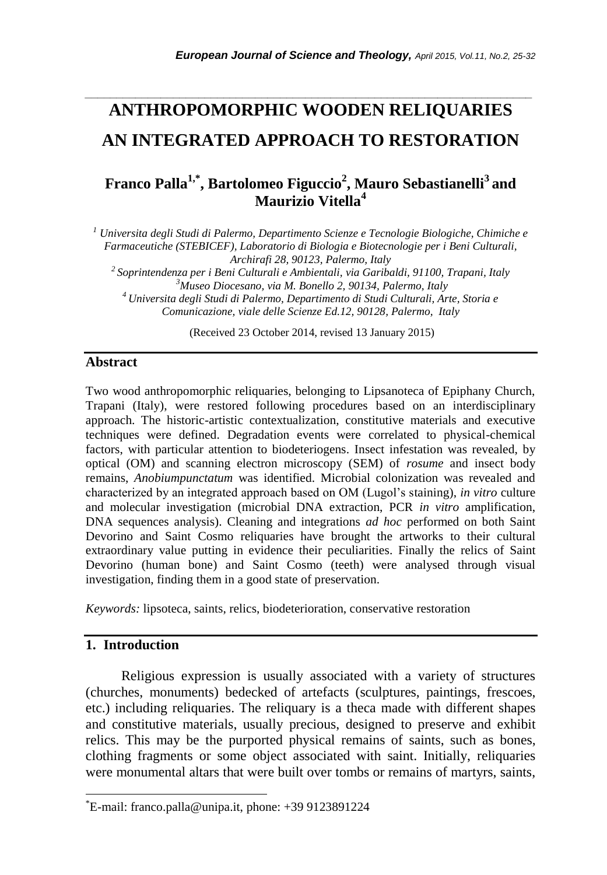# **ANTHROPOMORPHIC WOODEN RELIQUARIES AN INTEGRATED APPROACH TO RESTORATION**

*\_\_\_\_\_\_\_\_\_\_\_\_\_\_\_\_\_\_\_\_\_\_\_\_\_\_\_\_\_\_\_\_\_\_\_\_\_\_\_\_\_\_\_\_\_\_\_\_\_\_\_\_\_\_\_\_\_\_\_\_\_\_\_\_\_\_\_\_\_\_\_*

# **Franco Palla1,\* , Bartolomeo Figuccio<sup>2</sup> , Mauro Sebastianelli<sup>3</sup> and Maurizio Vitella<sup>4</sup>**

*<sup>1</sup> Universita degli Studi di Palermo, Departimento Scienze e Tecnologie Biologiche, Chimiche e Farmaceutiche (STEBICEF), Laboratorio di Biologia e Biotecnologie per i Beni Culturali, Archirafi 28, 90123, Palermo, Italy <sup>2</sup>Soprintendenza per i Beni Culturali e Ambientali, via Garibaldi, 91100, Trapani, Italy <sup>3</sup>Museo Diocesano, via M. Bonello 2, 90134, Palermo, Italy <sup>4</sup>Universita degli Studi di Palermo, Departimento di Studi Culturali, Arte, Storia e Comunicazione, viale delle Scienze Ed.12, 90128, Palermo, Italy*

(Received 23 October 2014, revised 13 January 2015)

#### **Abstract**

Two wood anthropomorphic reliquaries, belonging to Lipsanoteca of Epiphany Church, Trapani (Italy), were restored following procedures based on an interdisciplinary approach. The historic-artistic contextualization, constitutive materials and executive techniques were defined. Degradation events were correlated to physical-chemical factors, with particular attention to biodeteriogens. Insect infestation was revealed, by optical (OM) and scanning electron microscopy (SEM) of *rosume* and insect body remains, *Anobiumpunctatum* was identified. Microbial colonization was revealed and characterized by an integrated approach based on OM (Lugol"s staining), *in vitro* culture and molecular investigation (microbial DNA extraction, PCR *in vitro* amplification, DNA sequences analysis). Cleaning and integrations *ad hoc* performed on both Saint Devorino and Saint Cosmo reliquaries have brought the artworks to their cultural extraordinary value putting in evidence their peculiarities. Finally the relics of Saint Devorino (human bone) and Saint Cosmo (teeth) were analysed through visual investigation, finding them in a good state of preservation.

*Keywords:* lipsoteca, saints, relics, biodeterioration, conservative restoration

# **1. Introduction**

l

Religious expression is usually associated with a variety of structures (churches, monuments) bedecked of artefacts (sculptures, paintings, frescoes, etc.) including reliquaries. The reliquary is a theca made with different shapes and constitutive materials, usually precious, designed to preserve and exhibit relics. This may be the purported physical remains of saints, such as bones, clothing fragments or some object associated with saint. Initially, reliquaries were monumental altars that were built over tombs or remains of martyrs, saints,

<sup>\*</sup>E-mail: franco.palla@unipa.it, phone: +39 9123891224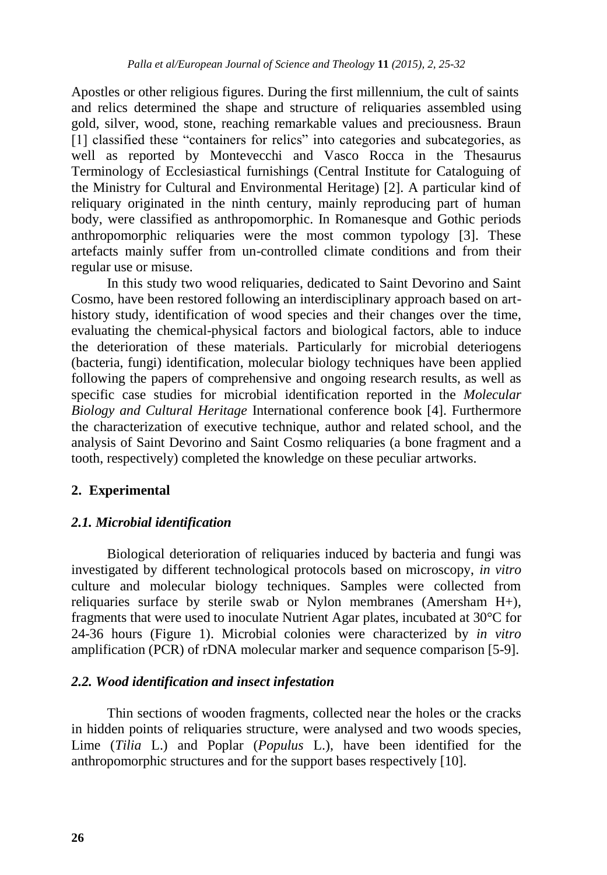Apostles or other religious figures. During the first millennium, the cult of saints and relics determined the shape and structure of reliquaries assembled using gold, silver, wood, stone, reaching remarkable values and preciousness. Braun [1] classified these "containers for relics" into categories and subcategories, as well as reported by Montevecchi and Vasco Rocca in the Thesaurus Terminology of Ecclesiastical furnishings (Central Institute for Cataloguing of the Ministry for Cultural and Environmental Heritage) [2]. A particular kind of reliquary originated in the ninth century, mainly reproducing part of human body, were classified as anthropomorphic. In Romanesque and Gothic periods anthropomorphic reliquaries were the most common typology [3]. These artefacts mainly suffer from un-controlled climate conditions and from their regular use or misuse.

In this study two wood reliquaries, dedicated to Saint Devorino and Saint Cosmo, have been restored following an interdisciplinary approach based on arthistory study, identification of wood species and their changes over the time, evaluating the chemical-physical factors and biological factors, able to induce the deterioration of these materials. Particularly for microbial deteriogens (bacteria, fungi) identification, molecular biology techniques have been applied following the papers of comprehensive and ongoing research results, as well as specific case studies for microbial identification reported in the *Molecular Biology and Cultural Heritage* International conference book [4]. Furthermore the characterization of executive technique, author and related school, and the analysis of Saint Devorino and Saint Cosmo reliquaries (a bone fragment and a tooth, respectively) completed the knowledge on these peculiar artworks.

# **2. Experimental**

# *2.1. Microbial identification*

Biological deterioration of reliquaries induced by bacteria and fungi was investigated by different technological protocols based on microscopy, *in vitro* culture and molecular biology techniques. Samples were collected from reliquaries surface by sterile swab or Nylon membranes (Amersham H+), fragments that were used to inoculate Nutrient Agar plates, incubated at 30°C for 24-36 hours (Figure 1). Microbial colonies were characterized by *in vitro* amplification (PCR) of rDNA molecular marker and sequence comparison [5-9].

#### *2.2. Wood identification and insect infestation*

Thin sections of wooden fragments, collected near the holes or the cracks in hidden points of reliquaries structure, were analysed and two woods species, Lime (*Tilia* L.) and Poplar (*Populus* L.), have been identified for the anthropomorphic structures and for the support bases respectively [10].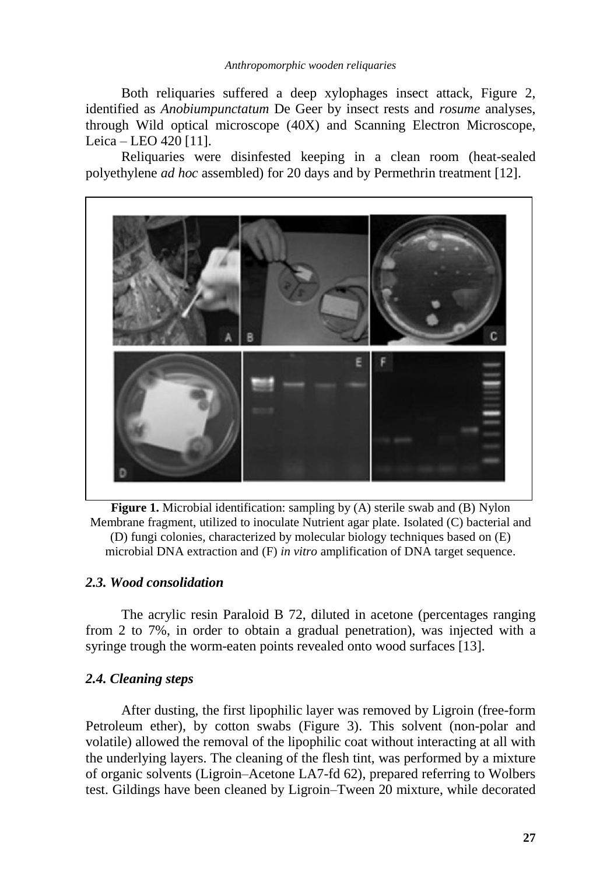Both reliquaries suffered a deep xylophages insect attack, Figure 2, identified as *Anobiumpunctatum* De Geer by insect rests and *rosume* analyses, through Wild optical microscope (40X) and Scanning Electron Microscope, Leica – LEO 420 [11].

Reliquaries were disinfested keeping in a clean room (heat-sealed polyethylene *ad hoc* assembled) for 20 days and by Permethrin treatment [12].



**Figure 1.** Microbial identification: sampling by (A) sterile swab and (B) Nylon Membrane fragment, utilized to inoculate Nutrient agar plate. Isolated (C) bacterial and (D) fungi colonies, characterized by molecular biology techniques based on (E) microbial DNA extraction and (F) *in vitro* amplification of DNA target sequence.

#### *2.3. Wood consolidation*

The acrylic resin Paraloid B 72, diluted in acetone (percentages ranging from 2 to 7%, in order to obtain a gradual penetration), was injected with a syringe trough the worm-eaten points revealed onto wood surfaces [13].

# *2.4. Cleaning steps*

After dusting, the first lipophilic layer was removed by Ligroin (free-form Petroleum ether), by cotton swabs (Figure 3). This solvent (non-polar and volatile) allowed the removal of the lipophilic coat without interacting at all with the underlying layers. The cleaning of the flesh tint, was performed by a mixture of organic solvents (Ligroin–Acetone LA7-fd 62), prepared referring to Wolbers test. Gildings have been cleaned by Ligroin–Tween 20 mixture, while decorated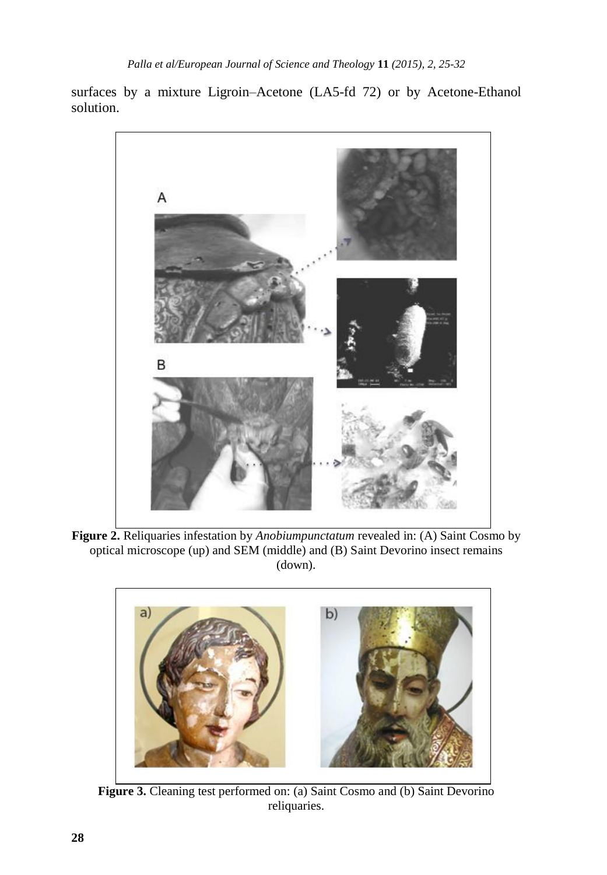surfaces by a mixture Ligroin–Acetone (LA5-fd 72) or by Acetone-Ethanol solution.



**Figure 2.** Reliquaries infestation by *Anobiumpunctatum* revealed in: (A) Saint Cosmo by optical microscope (up) and SEM (middle) and (B) Saint Devorino insect remains (down).



Figure 3. Cleaning test performed on: (a) Saint Cosmo and (b) Saint Devorino reliquaries.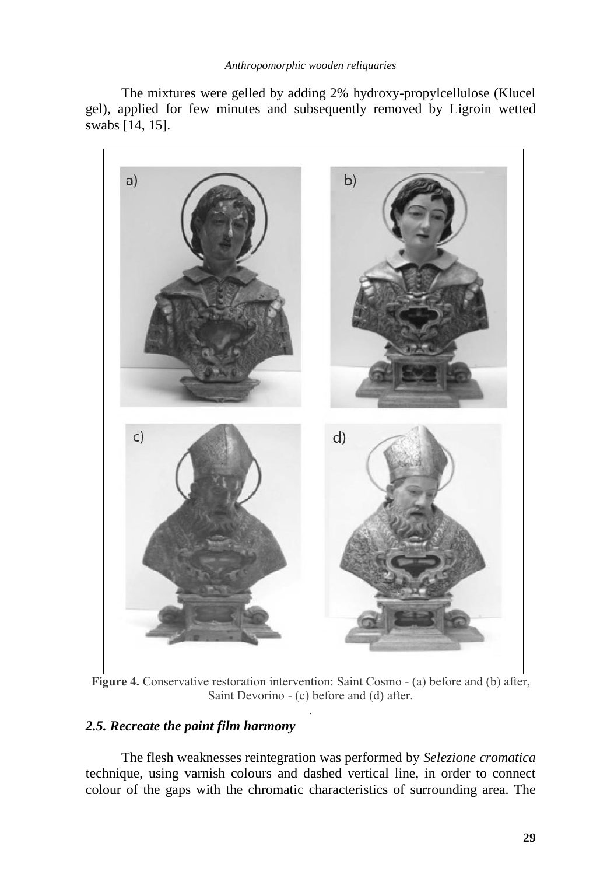The mixtures were gelled by adding 2% hydroxy-propylcellulose (Klucel gel), applied for few minutes and subsequently removed by Ligroin wetted swabs [14, 15].



**Figure 4.** Conservative restoration intervention: Saint Cosmo - (a) before and (b) after, Saint Devorino - (c) before and (d) after. .

# *2.5. Recreate the paint film harmony*

The flesh weaknesses reintegration was performed by *Selezione cromatica* technique, using varnish colours and dashed vertical line, in order to connect colour of the gaps with the chromatic characteristics of surrounding area. The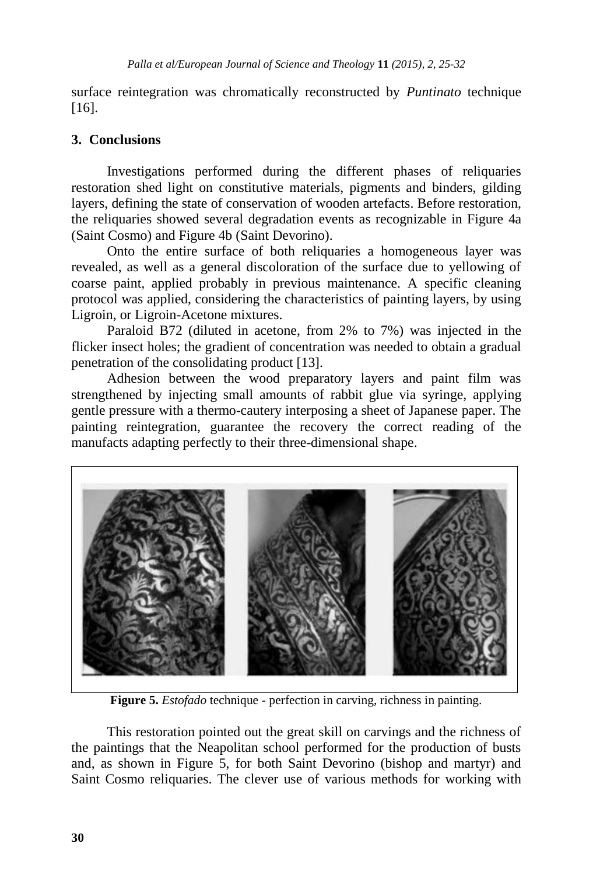surface reintegration was chromatically reconstructed by *Puntinato* technique [16].

# **3. Conclusions**

Investigations performed during the different phases of reliquaries restoration shed light on constitutive materials, pigments and binders, gilding layers, defining the state of conservation of wooden artefacts. Before restoration, the reliquaries showed several degradation events as recognizable in Figure 4a (Saint Cosmo) and Figure 4b (Saint Devorino).

Onto the entire surface of both reliquaries a homogeneous layer was revealed, as well as a general discoloration of the surface due to yellowing of coarse paint, applied probably in previous maintenance. A specific cleaning protocol was applied, considering the characteristics of painting layers, by using Ligroin, or Ligroin-Acetone mixtures.

Paraloid B72 (diluted in acetone, from 2% to 7%) was injected in the flicker insect holes; the gradient of concentration was needed to obtain a gradual penetration of the consolidating product [13].

Adhesion between the wood preparatory layers and paint film was strengthened by injecting small amounts of rabbit glue via syringe, applying gentle pressure with a thermo-cautery interposing a sheet of Japanese paper. The painting reintegration, guarantee the recovery the correct reading of the manufacts adapting perfectly to their three-dimensional shape.



**Figure 5.** *Estofado* technique - perfection in carving, richness in painting.

This restoration pointed out the great skill on carvings and the richness of the paintings that the Neapolitan school performed for the production of busts and, as shown in Figure 5, for both Saint Devorino (bishop and martyr) and Saint Cosmo reliquaries. The clever use of various methods for working with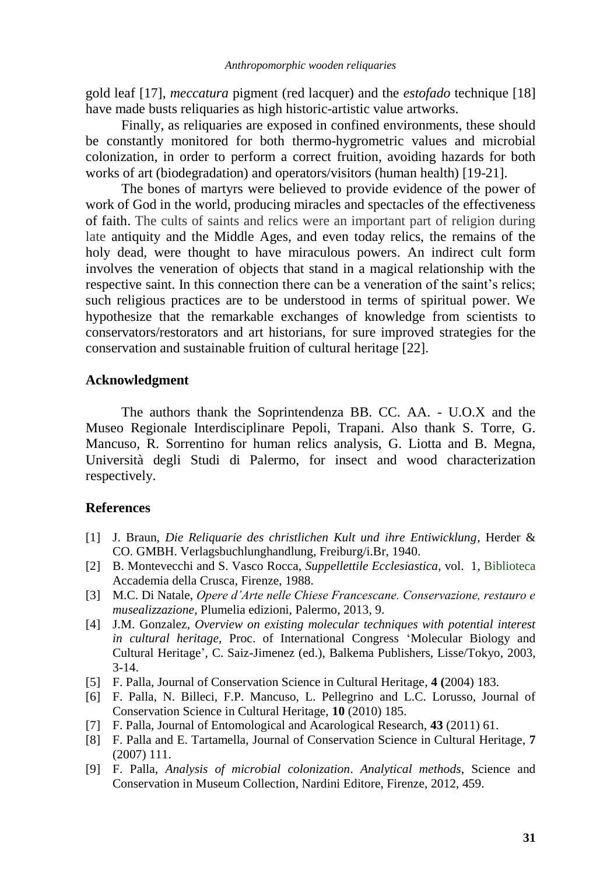gold leaf [17], *meccatura* pigment (red lacquer) and the *estofado* technique [18] have made busts reliquaries as high historic-artistic value artworks.

Finally, as reliquaries are exposed in confined environments, these should be constantly monitored for both thermo-hygrometric values and microbial colonization, in order to perform a correct fruition, avoiding hazards for both works of art (biodegradation) and operators/visitors (human health) [19-21].

The bones of martyrs were believed to provide evidence of the power of work of God in the world, producing miracles and spectacles of the effectiveness of faith. The cults of saints and relics were an important part of religion during late antiquity and the Middle Ages, and even today relics, the remains of the holy dead, were thought to have miraculous powers. An indirect cult form involves the veneration of objects that stand in a magical relationship with the respective saint. In this connection there can be a veneration of the saint"s relics; such religious practices are to be understood in terms of spiritual power. We hypothesize that the remarkable exchanges of knowledge from scientists to conservators/restorators and art historians, for sure improved strategies for the conservation and sustainable fruition of cultural heritage [22].

#### **Acknowledgment**

The authors thank the Soprintendenza BB. CC. AA. - U.O.X and the Museo Regionale Interdisciplinare Pepoli, Trapani. Also thank S. Torre, G. Mancuso, R. Sorrentino for human relics analysis, G. Liotta and B. Megna, Università degli Studi di Palermo, for insect and wood characterization respectively.

#### **References**

- [1] J. Braun, *Die Reliquarie des christlichen Kult und ihre Entiwicklung*, Herder & CO. GMBH. Verlagsbuchlunghandlung, Freiburg/i.Br, 1940.
- [2] B. Montevecchi and S. Vasco Rocca, *Suppellettile Ecclesiastica*, vol. 1, Biblioteca Accademia della Crusca, Firenze, 1988.
- [3] M.C. Di Natale, *Opere d'Arte nelle Chiese Francescane. Conservazione, restauro e musealizzazione*, Plumelia edizioni, Palermo, 2013, 9.
- [4] J.M. Gonzalez*, Overview on existing molecular techniques with potential interest in cultural heritage,* Proc. of International Congress "Molecular Biology and Cultural Heritage", C. Saiz-Jimenez (ed.), Balkema Publishers, Lisse/Tokyo, 2003, 3-14.
- [5] F. Palla, Journal of Conservation Science in Cultural Heritage, **4 (**2004) 183.
- [6] F. Palla, N. Billeci, F.P. Mancuso, L. Pellegrino and L.C. Lorusso, Journal of Conservation Science in Cultural Heritage, **10** (2010) 185.
- [7] F. Palla, Journal of Entomological and Acarological Research, **43** (2011) 61.
- [8] F. Palla and E. Tartamella, Journal of Conservation Science in Cultural Heritage, **7** (2007) 111.
- [9] F. Palla, *Analysis of microbial colonization*. *Analytical methods*, Science and Conservation in Museum Collection, Nardini Editore, Firenze, 2012, 459.